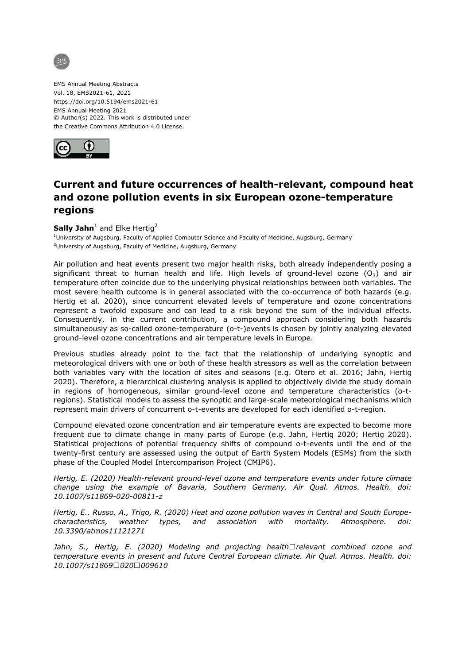

EMS Annual Meeting Abstracts Vol. 18, EMS2021-61, 2021 https://doi.org/10.5194/ems2021-61 EMS Annual Meeting 2021 © Author(s) 2022. This work is distributed under the Creative Commons Attribution 4.0 License.



## **Current and future occurrences of health-relevant, compound heat and ozone pollution events in six European ozone-temperature regions**

 $S$ ally Jahn<sup>1</sup> and Elke Hertig<sup>2</sup>

<sup>1</sup>University of Augsburg, Faculty of Applied Computer Science and Faculty of Medicine, Augsburg, Germany <sup>2</sup>University of Augsburg, Faculty of Medicine, Augsburg, Germany

Air pollution and heat events present two major health risks, both already independently posing a significant threat to human health and life. High levels of ground-level ozone  $(O_3)$  and air temperature often coincide due to the underlying physical relationships between both variables. The most severe health outcome is in general associated with the co-occurrence of both hazards (e.g. Hertig et al. 2020), since concurrent elevated levels of temperature and ozone concentrations represent a twofold exposure and can lead to a risk beyond the sum of the individual effects. Consequently, in the current contribution, a compound approach considering both hazards simultaneously as so-called ozone-temperature (o-t-)events is chosen by jointly analyzing elevated ground-level ozone concentrations and air temperature levels in Europe.

Previous studies already point to the fact that the relationship of underlying synoptic and meteorological drivers with one or both of these health stressors as well as the correlation between both variables vary with the location of sites and seasons (e.g. Otero et al. 2016; Jahn, Hertig 2020). Therefore, a hierarchical clustering analysis is applied to objectively divide the study domain in regions of homogeneous, similar ground-level ozone and temperature characteristics (o-tregions). Statistical models to assess the synoptic and large-scale meteorological mechanisms which represent main drivers of concurrent o-t-events are developed for each identified o-t-region.

Compound elevated ozone concentration and air temperature events are expected to become more frequent due to climate change in many parts of Europe (e.g. Jahn, Hertig 2020; Hertig 2020). Statistical projections of potential frequency shifts of compound o-t-events until the end of the twenty-first century are assessed using the output of Earth System Models (ESMs) from the sixth phase of the Coupled Model Intercomparison Project (CMIP6).

*Hertig, E. (2020) Health-relevant ground-level ozone and temperature events under future climate change using the example of Bavaria, Southern Germany. Air Qual. Atmos. Health. doi: 10.1007/s11869-020-00811-z*

*Hertig, E., Russo, A., Trigo, R. (2020) Heat and ozone pollution waves in Central and South Europecharacteristics, weather types, and association with mortality. Atmosphere. doi: 10.3390/atmos11121271*

*Jahn, S., Hertig, E. (2020) Modeling and projecting health*□relevant combined ozone and *temperature events in present and future Central European climate. Air Qual. Atmos. Health. doi: 10.1007/s11869‐020‐009610*